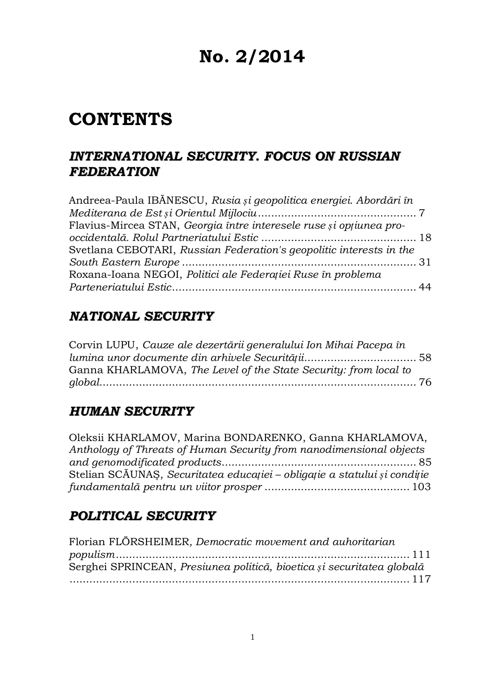# **No. 2/2014**

# **CONTENTS**

### *INTERNATIONAL SECURITY. FOCUS ON RUSSIAN FEDERATION*

| Andreea-Paula IBĂNESCU, Rusia și geopolitica energiei. Abordări în  |  |
|---------------------------------------------------------------------|--|
|                                                                     |  |
| Flavius-Mircea STAN, Georgia între interesele ruse și opțiunea pro- |  |
|                                                                     |  |
| Svetlana CEBOTARI, Russian Federation's geopolitic interests in the |  |
|                                                                     |  |
| Roxana-Ioana NEGOI, Politici ale Federației Ruse în problema        |  |
|                                                                     |  |

### *NATIONAL SECURITY*

Corvin LUPU, *Cauze ale dezertării generalului Ion Mihai Pacepa în lumina unor documente din arhivele Securității*.................................. 58 Ganna KHARLAMOVA, *The Level of the State Security: from local to global*................................................................................................ 76

### *HUMAN SECURITY*

| Oleksii KHARLAMOV, Marina BONDARENKO, Ganna KHARLAMOVA,                   |  |
|---------------------------------------------------------------------------|--|
| Anthology of Threats of Human Security from nanodimensional objects       |  |
|                                                                           |  |
| Stelian SCĂUNAȘ, Securitatea educației – obligație a statului și condiție |  |
|                                                                           |  |

# *POLITICAL SECURITY*

| Florian FLÖRSHEIMER, Democratic movement and auhoritarian              |
|------------------------------------------------------------------------|
|                                                                        |
| Serghei SPRINCEAN, Presiunea politică, bioetica și securitatea globală |
|                                                                        |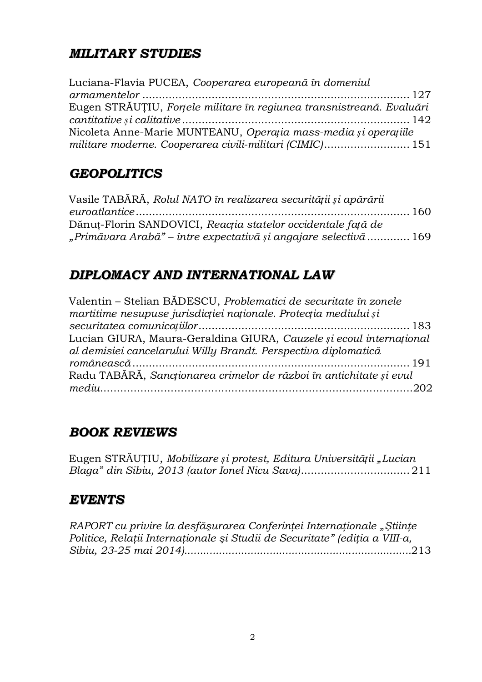# *MILITARY STUDIES*

| Luciana-Flavia PUCEA, Cooperarea europeană în domeniul                |  |
|-----------------------------------------------------------------------|--|
|                                                                       |  |
| Eugen STRĂUȚIU, Forțele militare în regiunea transnistreană. Evaluări |  |
|                                                                       |  |
| Nicoleta Anne-Marie MUNTEANU, Operația mass-media și operațiile       |  |
| militare moderne. Cooperarea civili-militari (CIMIC) 151              |  |

# *GEOPOLITICS*

| Vasile TABĂRĂ, Rolul NATO în realizarea securității și apărării  |  |
|------------------------------------------------------------------|--|
|                                                                  |  |
| Dănuț-Florin SANDOVICI, Reacția statelor occidentale față de     |  |
| "Primăvara Arabă" – între expectativă și angajare selectivă  169 |  |

# *DIPLOMACY AND INTERNATIONAL LAW*

| Valentin - Stelian BĂDESCU, Problematici de securitate în zonele    |
|---------------------------------------------------------------------|
| martitime nesupuse jurisdicției naționale. Protecția mediului și    |
|                                                                     |
| Lucian GIURA, Maura-Geraldina GIURA, Cauzele și ecoul internațional |
| al demisiei cancelarului Willy Brandt. Perspectiva diplomatică      |
|                                                                     |
| Radu TABĂRĂ, Sancționarea crimelor de război în antichitate și evul |
|                                                                     |

# *BOOK REVIEWS*

Eugen STRĂUȚIU, *Mobilizare și protest, Editura Universității "Lucian Blaga" din Sibiu, 2013 (autor Ionel Nicu Sava)*................................. 211

### *EVENTS*

```
RAPORT cu privire la desfăşurarea Conferinţei Internaţionale "Ştiinţe
Politice, Relaţii Internaţionale şi Studii de Securitate" (ediţia a VIII-a,
Sibiu, 23-25 mai 2014)........................................................................213
```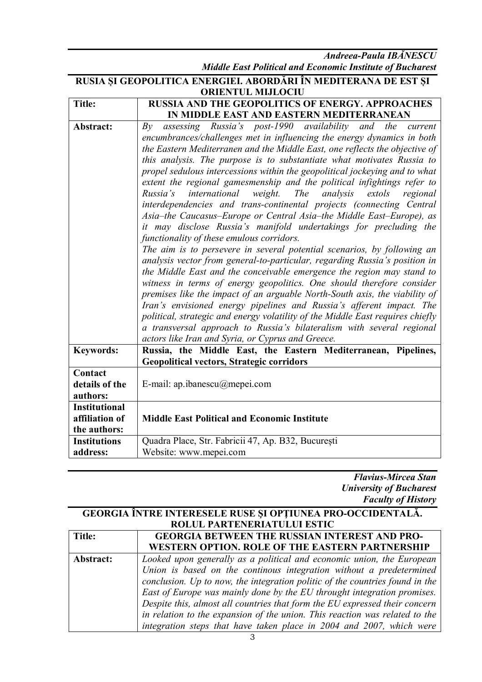*Andreea-Paula IBĂNESCU Middle East Political and Economic Institute of Bucharest*

| RUSIA ȘI GEOPOLITICA ENERGIEI. ABORDĂRI ÎN MEDITERANA DE EST ȘI |                                                                                                                                                    |
|-----------------------------------------------------------------|----------------------------------------------------------------------------------------------------------------------------------------------------|
| <b>ORIENTUL MIJLOCIU</b>                                        |                                                                                                                                                    |
| <b>Title:</b>                                                   | <b>RUSSIA AND THE GEOPOLITICS OF ENERGY. APPROACHES</b>                                                                                            |
|                                                                 | IN MIDDLE EAST AND EASTERN MEDITERRANEAN                                                                                                           |
| Abstract:                                                       | assessing Russia's post-1990 availability and the current<br>Bv                                                                                    |
|                                                                 | encumbrances/challenges met in influencing the energy dynamics in both                                                                             |
|                                                                 | the Eastern Mediterranen and the Middle East, one reflects the objective of                                                                        |
|                                                                 | this analysis. The purpose is to substantiate what motivates Russia to                                                                             |
|                                                                 | propel sedulous intercessions within the geopolitical jockeying and to what                                                                        |
|                                                                 | extent the regional gamesmenship and the political infightings refer to                                                                            |
|                                                                 | Russia's<br>international<br>weight.<br><i>The</i><br>analysis<br>extols<br>regional                                                               |
|                                                                 | interdependencies and trans-continental projects (connecting Central                                                                               |
|                                                                 | Asia-the Caucasus-Europe or Central Asia-the Middle East-Europe), as                                                                               |
|                                                                 | it may disclose Russia's manifold undertakings for precluding the                                                                                  |
|                                                                 | functionality of these emulous corridors.                                                                                                          |
|                                                                 | The aim is to persevere in several potential scenarios, by following an                                                                            |
|                                                                 | analysis vector from general-to-particular, regarding Russia's position in                                                                         |
|                                                                 | the Middle East and the conceivable emergence the region may stand to                                                                              |
|                                                                 | witness in terms of energy geopolitics. One should therefore consider                                                                              |
|                                                                 | premises like the impact of an arguable North-South axis, the viability of<br>Iran's envisioned energy pipelines and Russia's afferent impact. The |
|                                                                 | political, strategic and energy volatility of the Middle East requires chiefly                                                                     |
|                                                                 | a transversal approach to Russia's bilateralism with several regional                                                                              |
|                                                                 | actors like Iran and Syria, or Cyprus and Greece.                                                                                                  |
| <b>Keywords:</b>                                                | Russia, the Middle East, the Eastern Mediterranean, Pipelines,                                                                                     |
|                                                                 | <b>Geopolitical vectors, Strategic corridors</b>                                                                                                   |
| Contact                                                         |                                                                                                                                                    |
| details of the                                                  | E-mail: ap.ibanescu@mepei.com                                                                                                                      |
| authors:                                                        |                                                                                                                                                    |
| <b>Institutional</b>                                            |                                                                                                                                                    |
| affiliation of                                                  | <b>Middle East Political and Economic Institute</b>                                                                                                |
| the authors:                                                    |                                                                                                                                                    |
| <b>Institutions</b>                                             | Quadra Place, Str. Fabricii 47, Ap. B32, București                                                                                                 |
| address:                                                        | Website: www.mepei.com                                                                                                                             |

*Flavius-Mircea Stan University of Bucharest Faculty of History*

#### **GEORGIA ÎNTRE INTERESELE RUSE ŞI OPŢIUNEA PRO-OCCIDENTALĂ. ROLUL PARTENERIATULUI ESTIC**

| <b>Title:</b> | <b>GEORGIA BETWEEN THE RUSSIAN INTEREST AND PRO-</b>                         |
|---------------|------------------------------------------------------------------------------|
|               | WESTERN OPTION. ROLE OF THE EASTERN PARTNERSHIP                              |
| Abstract:     | Looked upon generally as a political and economic union, the European        |
|               | Union is based on the continous integration without a predetermined          |
|               | conclusion. Up to now, the integration politic of the countries found in the |
|               | East of Europe was mainly done by the EU throught integration promises.      |
|               | Despite this, almost all countries that form the EU expressed their concern  |
|               | in relation to the expansion of the union. This reaction was related to the  |
|               | integration steps that have taken place in 2004 and 2007, which were         |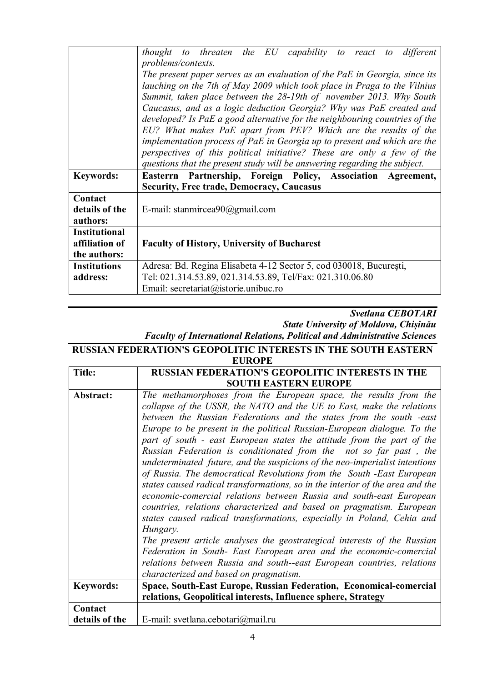|                      | thought to threaten the EU capability to react<br>different<br>to to                              |
|----------------------|---------------------------------------------------------------------------------------------------|
|                      | problems/contexts.                                                                                |
|                      | The present paper serves as an evaluation of the PaE in Georgia, since its                        |
|                      | lauching on the 7th of May 2009 which took place in Praga to the Vilnius                          |
|                      | Summit, taken place between the 28-19th of november 2013. Why South                               |
|                      | Caucasus, and as a logic deduction Georgia? Why was PaE created and                               |
|                      | developed? Is PaE a good alternative for the neighbouring countries of the                        |
|                      | EU? What makes PaE apart from PEV? Which are the results of the                                   |
|                      | implementation process of PaE in Georgia up to present and which are the                          |
|                      | perspectives of this political initiative? These are only a few of the                            |
|                      | questions that the present study will be answering regarding the subject.                         |
|                      |                                                                                                   |
| <b>Keywords:</b>     | Easterrn Partnership, Foreign Policy, Association Agreement,                                      |
|                      | <b>Security, Free trade, Democracy, Caucasus</b>                                                  |
| Contact              |                                                                                                   |
| details of the       | E-mail: stanmircea $90$ @gmail.com                                                                |
| authors:             |                                                                                                   |
| <b>Institutional</b> |                                                                                                   |
| affiliation of       | <b>Faculty of History, University of Bucharest</b>                                                |
| the authors:         |                                                                                                   |
| <b>Institutions</b>  | Adresa: Bd. Regina Elisabeta 4-12 Sector 5, cod 030018, București,                                |
| address:             | Tel: 021.314.53.89, 021.314.53.89, Tel/Fax: 021.310.06.80<br>Email: secretariat@istorie.unibuc.ro |

#### *Svetlana CEBOTARI State University of Moldova, Chișinău Faculty of International Relations, Political and Administrative Sciences*

#### **RUSSIAN FEDERATION'S GEOPOLITIC INTERESTS IN THE SOUTH EASTERN EUROPE**

| <b>Title:</b>    | <b>RUSSIAN FEDERATION'S GEOPOLITIC INTERESTS IN THE</b>                                                                                                                                                                                                                                                                                                                                                                                                                                                                                                                                                                                                                                                                                                                                                                                                                                                                                                                                                                                                                    |
|------------------|----------------------------------------------------------------------------------------------------------------------------------------------------------------------------------------------------------------------------------------------------------------------------------------------------------------------------------------------------------------------------------------------------------------------------------------------------------------------------------------------------------------------------------------------------------------------------------------------------------------------------------------------------------------------------------------------------------------------------------------------------------------------------------------------------------------------------------------------------------------------------------------------------------------------------------------------------------------------------------------------------------------------------------------------------------------------------|
|                  | <b>SOUTH EASTERN EUROPE</b>                                                                                                                                                                                                                                                                                                                                                                                                                                                                                                                                                                                                                                                                                                                                                                                                                                                                                                                                                                                                                                                |
| Abstract:        | The methamorphoses from the European space, the results from the<br>collapse of the USSR, the NATO and the UE to East, make the relations<br>between the Russian Federations and the states from the south -east<br>Europe to be present in the political Russian-European dialogue. To the<br>part of south - east European states the attitude from the part of the<br>Russian Federation is conditionated from the not so far past, the<br>undeterminated future, and the suspicions of the neo-imperialist intentions<br>of Russia. The democratical Revolutions from the South -East European<br>states caused radical transformations, so in the interior of the area and the<br>economic-comercial relations between Russia and south-east European<br>countries, relations characterized and based on pragmatism. European<br>states caused radical transformations, especially in Poland, Cehia and<br>Hungary.<br>The present article analyses the geostrategical interests of the Russian<br>Federation in South- East European area and the economic-comercial |
|                  | relations between Russia and south--east European countries, relations                                                                                                                                                                                                                                                                                                                                                                                                                                                                                                                                                                                                                                                                                                                                                                                                                                                                                                                                                                                                     |
|                  | characterized and based on pragmatism.                                                                                                                                                                                                                                                                                                                                                                                                                                                                                                                                                                                                                                                                                                                                                                                                                                                                                                                                                                                                                                     |
| <b>Keywords:</b> | Space, South-East Europe, Russian Federation, Economical-comercial                                                                                                                                                                                                                                                                                                                                                                                                                                                                                                                                                                                                                                                                                                                                                                                                                                                                                                                                                                                                         |
|                  | relations, Geopolitical interests, Influence sphere, Strategy                                                                                                                                                                                                                                                                                                                                                                                                                                                                                                                                                                                                                                                                                                                                                                                                                                                                                                                                                                                                              |
| Contact          |                                                                                                                                                                                                                                                                                                                                                                                                                                                                                                                                                                                                                                                                                                                                                                                                                                                                                                                                                                                                                                                                            |
| details of the   | E-mail: svetlana.cebotari@mail.ru                                                                                                                                                                                                                                                                                                                                                                                                                                                                                                                                                                                                                                                                                                                                                                                                                                                                                                                                                                                                                                          |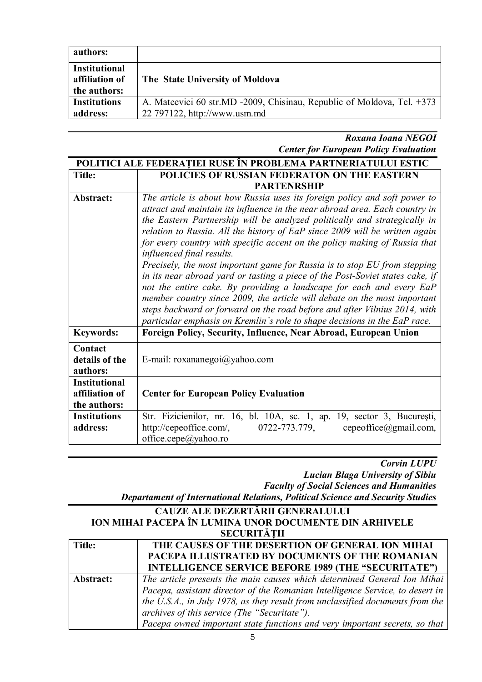| authors:                                               |                                                                                                        |
|--------------------------------------------------------|--------------------------------------------------------------------------------------------------------|
| <b>Institutional</b><br>affiliation of<br>the authors: | The State University of Moldova                                                                        |
| <b>Institutions</b><br>address:                        | A. Mateevici 60 str.MD -2009, Chisinau, Republic of Moldova, Tel. +373<br>22 797122, http://www.usm.md |

*Roxana Ioana NEGOI Center for European Policy Evaluation*

|                                                        | POLITICI ALE FEDERATIEI RUSE ÎN PROBLEMA PARTNERIATULUI ESTIC                                                                                                                                                                                                                                                                                                                                                                                                                                                                                                                                                                                                                                                                                                                                                                                                                                               |
|--------------------------------------------------------|-------------------------------------------------------------------------------------------------------------------------------------------------------------------------------------------------------------------------------------------------------------------------------------------------------------------------------------------------------------------------------------------------------------------------------------------------------------------------------------------------------------------------------------------------------------------------------------------------------------------------------------------------------------------------------------------------------------------------------------------------------------------------------------------------------------------------------------------------------------------------------------------------------------|
| Title:                                                 | POLICIES OF RUSSIAN FEDERATON ON THE EASTERN                                                                                                                                                                                                                                                                                                                                                                                                                                                                                                                                                                                                                                                                                                                                                                                                                                                                |
|                                                        | <b>PARTENRSHIP</b>                                                                                                                                                                                                                                                                                                                                                                                                                                                                                                                                                                                                                                                                                                                                                                                                                                                                                          |
| Abstract:                                              | The article is about how Russia uses its foreign policy and soft power to<br>attract and maintain its influence in the near abroad area. Each country in<br>the Eastern Partnership will be analyzed politically and strategically in<br>relation to Russia. All the history of EaP since 2009 will be written again<br>for every country with specific accent on the policy making of Russia that<br>influenced final results.<br>Precisely, the most important game for Russia is to stop EU from stepping<br>in its near abroad yard or tasting a piece of the Post-Soviet states cake, if<br>not the entire cake. By providing a landscape for each and every EaP<br>member country since 2009, the article will debate on the most important<br>steps backward or forward on the road before and after Vilnius 2014, with<br>particular emphasis on Kremlin's role to shape decisions in the EaP race. |
| <b>Keywords:</b>                                       | Foreign Policy, Security, Influence, Near Abroad, European Union                                                                                                                                                                                                                                                                                                                                                                                                                                                                                                                                                                                                                                                                                                                                                                                                                                            |
| Contact<br>details of the<br>authors:                  | E-mail: roxananegoi@yahoo.com                                                                                                                                                                                                                                                                                                                                                                                                                                                                                                                                                                                                                                                                                                                                                                                                                                                                               |
| <b>Institutional</b><br>affiliation of<br>the authors: | <b>Center for European Policy Evaluation</b>                                                                                                                                                                                                                                                                                                                                                                                                                                                                                                                                                                                                                                                                                                                                                                                                                                                                |
| <b>Institutions</b><br>address:                        | Str. Fizicienilor, nr. 16, bl. 10A, sc. 1, ap. 19, sector 3, București,<br>http://cepeoffice.com/,<br>0722-773.779,<br>$cepcoffice(\partial gmail.com)$<br>office.cepe@yahoo.ro                                                                                                                                                                                                                                                                                                                                                                                                                                                                                                                                                                                                                                                                                                                             |

*Corvin LUPU Lucian Blaga University of Sibiu Faculty of Social Sciences and Humanities*

*Departament of International Relations, Political Science and Security Studies*

#### **CAUZE ALE DEZERTĂRII GENERALULUI ION MIHAI PACEPA ÎN LUMINA UNOR DOCUMENTE DIN ARHIVELE SECURITĂȚII Title: THE CAUSES OF THE DESERTION OF GENERAL ION MIHAI PACEPA ILLUSTRATED BY DOCUMENTS OF THE ROMANIAN INTELLIGENCE SERVICE BEFORE 1989 (THE "SECURITATE") Abstract:** *The article presents the main causes which determined General Ion Mihai Pacepa, assistant director of the Romanian Intelligence Service, to desert in the U.S.A., in July 1978, as they result from unclassified documents from the archives of this service (The "Securitate").*

*Pacepa owned important state functions and very important secrets, so that*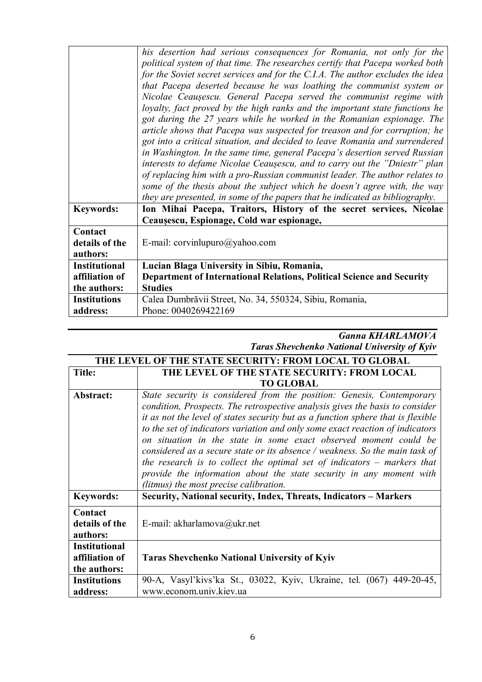|                      | his desertion had serious consequences for Romania, not only for the<br>political system of that time. The researches certify that Pacepa worked both<br>for the Soviet secret services and for the C.I.A. The author excludes the idea<br>that Pacepa deserted because he was loathing the communist system or<br>Nicolae Ceaușescu. General Pacepa served the communist regime with<br>loyalty, fact proved by the high ranks and the important state functions he<br>got during the 27 years while he worked in the Romanian espionage. The<br>article shows that Pacepa was suspected for treason and for corruption; he<br>got into a critical situation, and decided to leave Romania and surrendered<br>in Washington. In the same time, general Pacepa's desertion served Russian<br>interests to defame Nicolae Ceaușescu, and to carry out the "Dniestr" plan<br>of replacing him with a pro-Russian communist leader. The author relates to<br>some of the thesis about the subject which he doesn't agree with, the way<br>they are presented, in some of the papers that he indicated as bibliography. |
|----------------------|---------------------------------------------------------------------------------------------------------------------------------------------------------------------------------------------------------------------------------------------------------------------------------------------------------------------------------------------------------------------------------------------------------------------------------------------------------------------------------------------------------------------------------------------------------------------------------------------------------------------------------------------------------------------------------------------------------------------------------------------------------------------------------------------------------------------------------------------------------------------------------------------------------------------------------------------------------------------------------------------------------------------------------------------------------------------------------------------------------------------|
| <b>Keywords:</b>     | Ion Mihai Pacepa, Traitors, History of the secret services, Nicolae                                                                                                                                                                                                                                                                                                                                                                                                                                                                                                                                                                                                                                                                                                                                                                                                                                                                                                                                                                                                                                                 |
|                      | Ceaușescu, Espionage, Cold war espionage,                                                                                                                                                                                                                                                                                                                                                                                                                                                                                                                                                                                                                                                                                                                                                                                                                                                                                                                                                                                                                                                                           |
| Contact              |                                                                                                                                                                                                                                                                                                                                                                                                                                                                                                                                                                                                                                                                                                                                                                                                                                                                                                                                                                                                                                                                                                                     |
| details of the       | E-mail: corvinlupuro@yahoo.com                                                                                                                                                                                                                                                                                                                                                                                                                                                                                                                                                                                                                                                                                                                                                                                                                                                                                                                                                                                                                                                                                      |
| authors:             |                                                                                                                                                                                                                                                                                                                                                                                                                                                                                                                                                                                                                                                                                                                                                                                                                                                                                                                                                                                                                                                                                                                     |
| <b>Institutional</b> | Lucian Blaga University in Sibiu, Romania,                                                                                                                                                                                                                                                                                                                                                                                                                                                                                                                                                                                                                                                                                                                                                                                                                                                                                                                                                                                                                                                                          |
| affiliation of       | Department of International Relations, Political Science and Security                                                                                                                                                                                                                                                                                                                                                                                                                                                                                                                                                                                                                                                                                                                                                                                                                                                                                                                                                                                                                                               |
| the authors:         | <b>Studies</b>                                                                                                                                                                                                                                                                                                                                                                                                                                                                                                                                                                                                                                                                                                                                                                                                                                                                                                                                                                                                                                                                                                      |
| <b>Institutions</b>  | Calea Dumbrăvii Street, No. 34, 550324, Sibiu, Romania,                                                                                                                                                                                                                                                                                                                                                                                                                                                                                                                                                                                                                                                                                                                                                                                                                                                                                                                                                                                                                                                             |
| address:             | Phone: 0040269422169                                                                                                                                                                                                                                                                                                                                                                                                                                                                                                                                                                                                                                                                                                                                                                                                                                                                                                                                                                                                                                                                                                |

#### *Ganna KHARLAMOVA Taras Shevchenko National University of Kyiv*

| THE LEVEL OF THE STATE SECURITY: FROM LOCAL TO GLOBAL  |                                                                                                                                                                                                                                                                                                                                                                                                                                                                                                                                                                                                                                                                             |
|--------------------------------------------------------|-----------------------------------------------------------------------------------------------------------------------------------------------------------------------------------------------------------------------------------------------------------------------------------------------------------------------------------------------------------------------------------------------------------------------------------------------------------------------------------------------------------------------------------------------------------------------------------------------------------------------------------------------------------------------------|
| Title:                                                 | THE LEVEL OF THE STATE SECURITY: FROM LOCAL                                                                                                                                                                                                                                                                                                                                                                                                                                                                                                                                                                                                                                 |
|                                                        | <b>TO GLOBAL</b>                                                                                                                                                                                                                                                                                                                                                                                                                                                                                                                                                                                                                                                            |
| Abstract:                                              | State security is considered from the position: Genesis, Contemporary<br>condition, Prospects. The retrospective analysis gives the basis to consider<br>it as not the level of states security but as a function sphere that is flexible<br>to the set of indicators variation and only some exact reaction of indicators<br>on situation in the state in some exact observed moment could be<br>considered as a secure state or its absence / weakness. So the main task of<br>the research is to collect the optimal set of indicators $-$ markers that<br>provide the information about the state security in any moment with<br>(litmus) the most precise calibration. |
| <b>Keywords:</b>                                       | Security, National security, Index, Threats, Indicators – Markers                                                                                                                                                                                                                                                                                                                                                                                                                                                                                                                                                                                                           |
| Contact<br>details of the<br>authors:                  | E-mail: akharlamova@ukr.net                                                                                                                                                                                                                                                                                                                                                                                                                                                                                                                                                                                                                                                 |
| <b>Institutional</b><br>affiliation of<br>the authors: | <b>Taras Shevchenko National University of Kyiv</b>                                                                                                                                                                                                                                                                                                                                                                                                                                                                                                                                                                                                                         |
| <b>Institutions</b><br>address:                        | 90-A, Vasyl'kivs'ka St., 03022, Kyiv, Ukraine, tel. (067) 449-20-45,<br>www.econom.univ.kiev.ua                                                                                                                                                                                                                                                                                                                                                                                                                                                                                                                                                                             |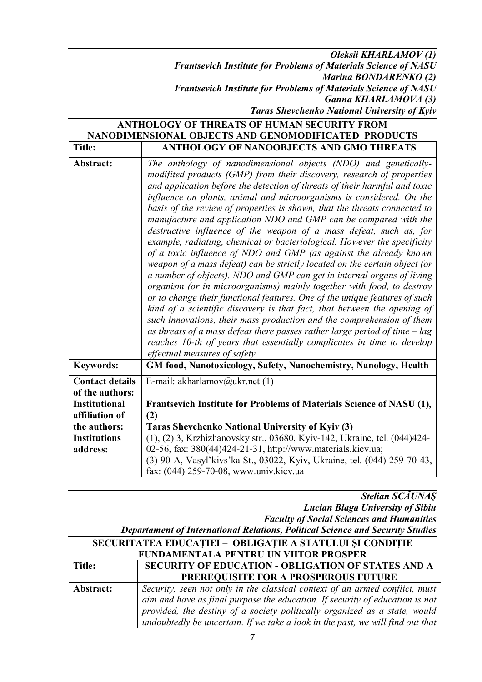*Oleksii KHARLAMOV (1) Frantsevich Institute for Problems of Materials Science of NASU Marina BONDARENKO (2) Frantsevich Institute for Problems of Materials Science of NASU Ganna KHARLAMOVA (3) Taras Shevchenko National University of Kyiv*

| <b>ANTHOLOGY OF THREATS OF HUMAN SECURITY FROM</b><br>NANODIMENSIONAL OBJECTS AND GENOMODIFICATED PRODUCTS |                                                                                                                                                                                                                                                                                                                                                                                                                                                                                                                                                                                                                                                                                                                                                                                                                                                                                                                                                                                                                                                                                                                                                                                                                                                                                                                                       |
|------------------------------------------------------------------------------------------------------------|---------------------------------------------------------------------------------------------------------------------------------------------------------------------------------------------------------------------------------------------------------------------------------------------------------------------------------------------------------------------------------------------------------------------------------------------------------------------------------------------------------------------------------------------------------------------------------------------------------------------------------------------------------------------------------------------------------------------------------------------------------------------------------------------------------------------------------------------------------------------------------------------------------------------------------------------------------------------------------------------------------------------------------------------------------------------------------------------------------------------------------------------------------------------------------------------------------------------------------------------------------------------------------------------------------------------------------------|
| <b>Title:</b>                                                                                              | ANTHOLOGY OF NANOOBJECTS AND GMO THREATS                                                                                                                                                                                                                                                                                                                                                                                                                                                                                                                                                                                                                                                                                                                                                                                                                                                                                                                                                                                                                                                                                                                                                                                                                                                                                              |
| Abstract:                                                                                                  | The anthology of nanodimensional objects (NDO) and genetically-<br>modifited products (GMP) from their discovery, research of properties<br>and application before the detection of threats of their harmful and toxic<br>influence on plants, animal and microorganisms is considered. On the<br>basis of the review of properties is shown, that the threats connected to<br>manufacture and application NDO and GMP can be compared with the<br>destructive influence of the weapon of a mass defeat, such as, for<br>example, radiating, chemical or bacteriological. However the specificity<br>of a toxic influence of NDO and GMP (as against the already known<br>weapon of a mass defeat) can be strictly located on the certain object (or<br>a number of objects). NDO and GMP can get in internal organs of living<br>organism (or in microorganisms) mainly together with food, to destroy<br>or to change their functional features. One of the unique features of such<br>kind of a scientific discovery is that fact, that between the opening of<br>such innovations, their mass production and the comprehension of them<br>as threats of a mass defeat there passes rather large period of time $-\log$<br>reaches 10-th of years that essentially complicates in time to develop<br>effectual measures of safety. |
| <b>Keywords:</b>                                                                                           | GM food, Nanotoxicology, Safety, Nanochemistry, Nanology, Health                                                                                                                                                                                                                                                                                                                                                                                                                                                                                                                                                                                                                                                                                                                                                                                                                                                                                                                                                                                                                                                                                                                                                                                                                                                                      |
| <b>Contact details</b><br>of the authors:                                                                  | E-mail: akharlamov@ukr.net $(1)$                                                                                                                                                                                                                                                                                                                                                                                                                                                                                                                                                                                                                                                                                                                                                                                                                                                                                                                                                                                                                                                                                                                                                                                                                                                                                                      |
| <b>Institutional</b>                                                                                       | Frantsevich Institute for Problems of Materials Science of NASU (1),                                                                                                                                                                                                                                                                                                                                                                                                                                                                                                                                                                                                                                                                                                                                                                                                                                                                                                                                                                                                                                                                                                                                                                                                                                                                  |
| affiliation of                                                                                             | (2)                                                                                                                                                                                                                                                                                                                                                                                                                                                                                                                                                                                                                                                                                                                                                                                                                                                                                                                                                                                                                                                                                                                                                                                                                                                                                                                                   |
| the authors:                                                                                               | Taras Shevchenko National University of Kyiv (3)                                                                                                                                                                                                                                                                                                                                                                                                                                                                                                                                                                                                                                                                                                                                                                                                                                                                                                                                                                                                                                                                                                                                                                                                                                                                                      |
| <b>Institutions</b>                                                                                        | (1), (2) 3, Krzhizhanovsky str., 03680, Kyiv-142, Ukraine, tel. (044)424-                                                                                                                                                                                                                                                                                                                                                                                                                                                                                                                                                                                                                                                                                                                                                                                                                                                                                                                                                                                                                                                                                                                                                                                                                                                             |
| address:                                                                                                   | 02-56, fax: 380(44)424-21-31, http://www.materials.kiev.ua;                                                                                                                                                                                                                                                                                                                                                                                                                                                                                                                                                                                                                                                                                                                                                                                                                                                                                                                                                                                                                                                                                                                                                                                                                                                                           |
|                                                                                                            | (3) 90-A, Vasyl'kivs'ka St., 03022, Kyiv, Ukraine, tel. (044) 259-70-43,                                                                                                                                                                                                                                                                                                                                                                                                                                                                                                                                                                                                                                                                                                                                                                                                                                                                                                                                                                                                                                                                                                                                                                                                                                                              |
|                                                                                                            | fax: (044) 259-70-08, www.univ.kiev.ua                                                                                                                                                                                                                                                                                                                                                                                                                                                                                                                                                                                                                                                                                                                                                                                                                                                                                                                                                                                                                                                                                                                                                                                                                                                                                                |

*Stelian SCĂUNAŞ Lucian Blaga University of Sibiu Faculty of Social Sciences and Humanities Departament of International Relations, Political Science and Security Studies*

| Deput alinent of International Iterations, I onneal Belence and Because Biautes |                                                                                |
|---------------------------------------------------------------------------------|--------------------------------------------------------------------------------|
| SECURITATEA EDUCAȚIEI - OBLIGAȚIE A STATULUI ȘI CONDIȚIE                        |                                                                                |
| FUNDAMENTALA PENTRU UN VIITOR PROSPER                                           |                                                                                |
| Title:                                                                          | SECURITY OF EDUCATION - OBLIGATION OF STATES AND A                             |
|                                                                                 | PREREQUISITE FOR A PROSPEROUS FUTURE                                           |
| Abstract:                                                                       | Security, seen not only in the classical context of an armed conflict, must    |
|                                                                                 | aim and have as final purpose the education. If security of education is not   |
|                                                                                 | provided, the destiny of a society politically organized as a state, would     |
|                                                                                 | undoubtedly be uncertain. If we take a look in the past, we will find out that |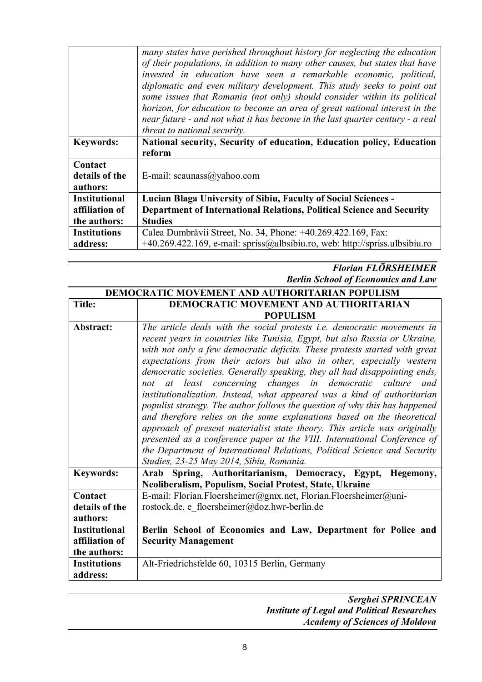|                      | many states have perished throughout history for neglecting the education<br>of their populations, in addition to many other causes, but states that have<br>invested in education have seen a remarkable economic, political,<br>diplomatic and even military development. This study seeks to point out |
|----------------------|-----------------------------------------------------------------------------------------------------------------------------------------------------------------------------------------------------------------------------------------------------------------------------------------------------------|
|                      | some issues that Romania (not only) should consider within its political                                                                                                                                                                                                                                  |
|                      | horizon, for education to become an area of great national interest in the<br>near future - and not what it has become in the last quarter century - a real                                                                                                                                               |
|                      | threat to national security.                                                                                                                                                                                                                                                                              |
| <b>Keywords:</b>     | National security, Security of education, Education policy, Education                                                                                                                                                                                                                                     |
|                      | reform                                                                                                                                                                                                                                                                                                    |
| Contact              |                                                                                                                                                                                                                                                                                                           |
| details of the       | E-mail: scaunass@yahoo.com                                                                                                                                                                                                                                                                                |
| authors:             |                                                                                                                                                                                                                                                                                                           |
| <b>Institutional</b> | <b>Lucian Blaga University of Sibiu, Faculty of Social Sciences -</b>                                                                                                                                                                                                                                     |
| affiliation of       | Department of International Relations, Political Science and Security                                                                                                                                                                                                                                     |
| the authors:         | <b>Studies</b>                                                                                                                                                                                                                                                                                            |
| <b>Institutions</b>  | Calea Dumbrăvii Street, No. 34, Phone: +40.269.422.169, Fax:                                                                                                                                                                                                                                              |
| address:             | $+40.269.422.169$ , e-mail: spriss@ulbsibiu.ro, web: http://spriss.ulbsibiu.ro                                                                                                                                                                                                                            |

### *Florian FLÖRSHEIMER Berlin School of Economics and Law*

| <b>DEMOCRATIC MOVEMENT AND AUTHORITARIAN POPULISM</b> |                                                                                |
|-------------------------------------------------------|--------------------------------------------------------------------------------|
| <b>Title:</b>                                         | <b>DEMOCRATIC MOVEMENT AND AUTHORITARIAN</b>                                   |
|                                                       | <b>POPULISM</b>                                                                |
| Abstract:                                             | The article deals with the social protests <i>i.e.</i> democratic movements in |
|                                                       | recent years in countries like Tunisia, Egypt, but also Russia or Ukraine,     |
|                                                       | with not only a few democratic deficits. These protests started with great     |
|                                                       | expectations from their actors but also in other, especially western           |
|                                                       | democratic societies. Generally speaking, they all had disappointing ends,     |
|                                                       | not at least concerning changes in democratic culture<br>and                   |
|                                                       | institutionalization. Instead, what appeared was a kind of authoritarian       |
|                                                       | populist strategy. The author follows the question of why this has happened    |
|                                                       | and therefore relies on the some explanations based on the theoretical         |
|                                                       | approach of present materialist state theory. This article was originally      |
|                                                       | presented as a conference paper at the VIII. International Conference of       |
|                                                       | the Department of International Relations, Political Science and Security      |
|                                                       | Studies, 23-25 May 2014, Sibiu, Romania.                                       |
| <b>Keywords:</b>                                      | Arab Spring, Authoritarianism, Democracy, Egypt,<br>Hegemony,                  |
|                                                       | Neoliberalism, Populism, Social Protest, State, Ukraine                        |
| Contact                                               | E-mail: Florian.Floersheimer@gmx.net, Florian.Floersheimer@uni-                |
| details of the                                        | rostock.de, e floersheimer@doz.hwr-berlin.de                                   |
| authors:                                              |                                                                                |
| <b>Institutional</b>                                  | Berlin School of Economics and Law, Department for Police and                  |
| affiliation of                                        | <b>Security Management</b>                                                     |
| the authors:                                          |                                                                                |
| <b>Institutions</b>                                   | Alt-Friedrichsfelde 60, 10315 Berlin, Germany                                  |
| address:                                              |                                                                                |
|                                                       |                                                                                |

#### *Serghei SPRINCEAN Institute of Legal and Political Researches Academy of Sciences of Moldova*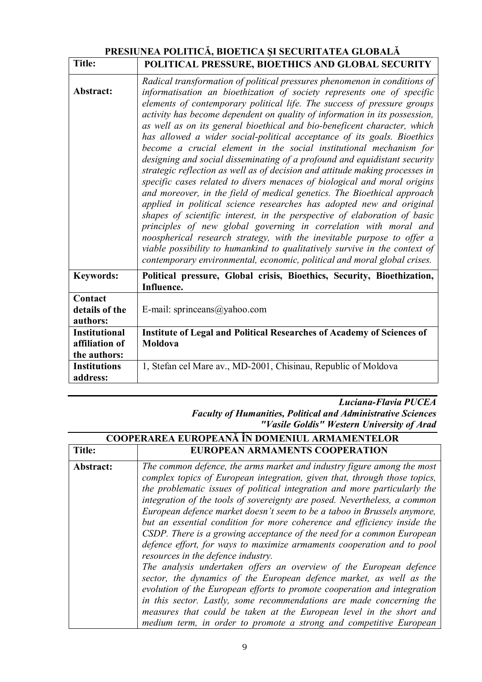#### **PRESIUNEA POLITICĂ, BIOETICA ȘI SECURITATEA GLOBALĂ Title: POLITICAL PRESSURE, BIOETHICS AND GLOBAL SECURITY**

| 1 IUV.                                | PULITICAL PRESSURE, BIUETHICS AND GLUBAL SECURIT I                                                                                                                                                                                                                                                                                                                                                                                                                                                                                                                                                                                                                                                                                                                                                                                                                                                                                                                                                                                                                                                                                                                                                                                                                                                                         |
|---------------------------------------|----------------------------------------------------------------------------------------------------------------------------------------------------------------------------------------------------------------------------------------------------------------------------------------------------------------------------------------------------------------------------------------------------------------------------------------------------------------------------------------------------------------------------------------------------------------------------------------------------------------------------------------------------------------------------------------------------------------------------------------------------------------------------------------------------------------------------------------------------------------------------------------------------------------------------------------------------------------------------------------------------------------------------------------------------------------------------------------------------------------------------------------------------------------------------------------------------------------------------------------------------------------------------------------------------------------------------|
| Abstract:                             | Radical transformation of political pressures phenomenon in conditions of<br>informatisation an bioethization of society represents one of specific<br>elements of contemporary political life. The success of pressure groups<br>activity has become dependent on quality of information in its possession,<br>as well as on its general bioethical and bio-beneficent character, which<br>has allowed a wider social-political acceptance of its goals. Bioethics<br>become a crucial element in the social institutional mechanism for<br>designing and social disseminating of a profound and equidistant security<br>strategic reflection as well as of decision and attitude making processes in<br>specific cases related to divers menaces of biological and moral origins<br>and moreover, in the field of medical genetics. The Bioethical approach<br>applied in political science researches has adopted new and original<br>shapes of scientific interest, in the perspective of elaboration of basic<br>principles of new global governing in correlation with moral and<br>noospherical research strategy, with the inevitable purpose to offer a<br>viable possibility to humankind to qualitatively survive in the context of<br>contemporary environmental, economic, political and moral global crises. |
| <b>Keywords:</b>                      | Political pressure, Global crisis, Bioethics, Security, Bioethization,<br>Influence.                                                                                                                                                                                                                                                                                                                                                                                                                                                                                                                                                                                                                                                                                                                                                                                                                                                                                                                                                                                                                                                                                                                                                                                                                                       |
| Contact<br>details of the<br>authors: | E-mail: sprinceans@yahoo.com                                                                                                                                                                                                                                                                                                                                                                                                                                                                                                                                                                                                                                                                                                                                                                                                                                                                                                                                                                                                                                                                                                                                                                                                                                                                                               |
| <b>Institutional</b>                  | Institute of Legal and Political Researches of Academy of Sciences of                                                                                                                                                                                                                                                                                                                                                                                                                                                                                                                                                                                                                                                                                                                                                                                                                                                                                                                                                                                                                                                                                                                                                                                                                                                      |
| affiliation of                        | Moldova                                                                                                                                                                                                                                                                                                                                                                                                                                                                                                                                                                                                                                                                                                                                                                                                                                                                                                                                                                                                                                                                                                                                                                                                                                                                                                                    |
| the authors:                          |                                                                                                                                                                                                                                                                                                                                                                                                                                                                                                                                                                                                                                                                                                                                                                                                                                                                                                                                                                                                                                                                                                                                                                                                                                                                                                                            |
| <b>Institutions</b><br>address:       | 1, Stefan cel Mare av., MD-2001, Chisinau, Republic of Moldova                                                                                                                                                                                                                                                                                                                                                                                                                                                                                                                                                                                                                                                                                                                                                                                                                                                                                                                                                                                                                                                                                                                                                                                                                                                             |

*Luciana-Flavia PUCEA Faculty of Humanities, Political and Administrative Sciences*

*"Vasile Goldis" Western University of Arad*

| <b>COOPERAREA EUROPEANA IN DOMENIUL ARMAMENTELOR</b> |                                                                                                                                                                                                                                                                                                                                                                                                                                                                                                                                                                                                                                                                                                                                                                                                                                                                                                                                                               |
|------------------------------------------------------|---------------------------------------------------------------------------------------------------------------------------------------------------------------------------------------------------------------------------------------------------------------------------------------------------------------------------------------------------------------------------------------------------------------------------------------------------------------------------------------------------------------------------------------------------------------------------------------------------------------------------------------------------------------------------------------------------------------------------------------------------------------------------------------------------------------------------------------------------------------------------------------------------------------------------------------------------------------|
| <b>Title:</b>                                        | EUROPEAN ARMAMENTS COOPERATION                                                                                                                                                                                                                                                                                                                                                                                                                                                                                                                                                                                                                                                                                                                                                                                                                                                                                                                                |
| Abstract:                                            | The common defence, the arms market and industry figure among the most<br>complex topics of European integration, given that, through those topics,<br>the problematic issues of political integration and more particularly the<br>integration of the tools of sovereignty are posed. Nevertheless, a common<br>European defence market doesn't seem to be a taboo in Brussels anymore,<br>but an essential condition for more coherence and efficiency inside the<br>CSDP. There is a growing acceptance of the need for a common European<br>defence effort, for ways to maximize armaments cooperation and to pool<br>resources in the defence industry.<br>The analysis undertaken offers an overview of the European defence<br>sector, the dynamics of the European defence market, as well as the<br>evolution of the European efforts to promote cooperation and integration<br>in this sector. Lastly, some recommendations are made concerning the |
|                                                      | measures that could be taken at the European level in the short and<br>medium term, in order to promote a strong and competitive European                                                                                                                                                                                                                                                                                                                                                                                                                                                                                                                                                                                                                                                                                                                                                                                                                     |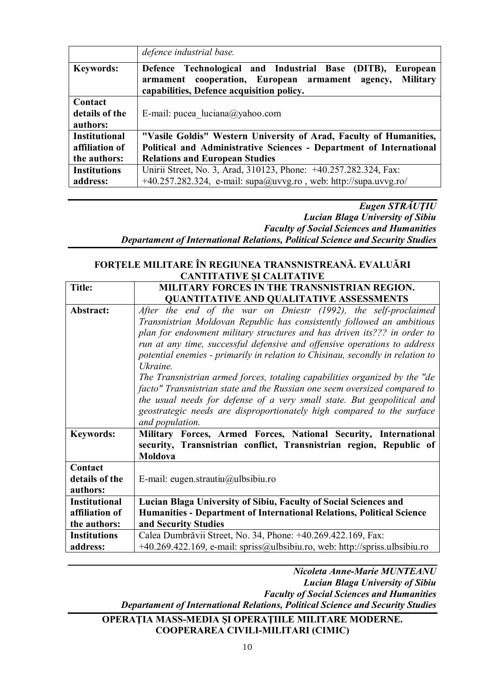|                      | defence industrial base.                                                                                                                                                                      |
|----------------------|-----------------------------------------------------------------------------------------------------------------------------------------------------------------------------------------------|
| <b>Keywords:</b>     | Defence Technological and Industrial Base<br>(DITB),<br><b>European</b><br><b>Military</b><br>armament cooperation, European armament<br>agency,<br>capabilities, Defence acquisition policy. |
| Contact              |                                                                                                                                                                                               |
| details of the       | E-mail: pucea $luciana(\partial yahoo.com)$                                                                                                                                                   |
| authors:             |                                                                                                                                                                                               |
| <b>Institutional</b> | "Vasile Goldis" Western University of Arad, Faculty of Humanities,                                                                                                                            |
| affiliation of       | Political and Administrative Sciences - Department of International                                                                                                                           |
| the authors:         | <b>Relations and European Studies</b>                                                                                                                                                         |
| <b>Institutions</b>  | Unirii Street, No. 3, Arad, 310123, Phone: +40.257.282.324, Fax:                                                                                                                              |
| address:             | $+40.257.282.324$ , e-mail: supa@uvvg.ro, web: http://supa.uvvg.ro/                                                                                                                           |

*Eugen STRĂUŢIU Lucian Blaga University of Sibiu Faculty of Social Sciences and Humanities Departament of International Relations, Political Science and Security Studies*

#### **FORȚELE MILITARE ÎN REGIUNEA TRANSNISTREANĂ. EVALUĂRI CANTITATIVE ȘI CALITATIVE**

| <b>Title:</b>        | MILITARY FORCES IN THE TRANSNISTRIAN REGION.                                   |
|----------------------|--------------------------------------------------------------------------------|
|                      | <b>QUANTITATIVE AND QUALITATIVE ASSESSMENTS</b>                                |
| Abstract:            | After the end of the war on Dniestr (1992), the self-proclaimed                |
|                      | Transnistrian Moldovan Republic has consistently followed an ambitious         |
|                      | plan for endowment military structures and has driven its??? in order to       |
|                      | run at any time, successful defensive and offensive operations to address      |
|                      | potential enemies - primarily in relation to Chisinau, secondly in relation to |
|                      | Ukraine.                                                                       |
|                      | The Transnistrian armed forces, totaling capabilities organized by the "de     |
|                      | facto" Transnistrian state and the Russian one seem oversized compared to      |
|                      | the usual needs for defense of a very small state. But geopolitical and        |
|                      | geostrategic needs are disproportionately high compared to the surface         |
|                      | and population.                                                                |
| <b>Keywords:</b>     | Military Forces, Armed Forces, National Security, International                |
|                      | security, Transnistrian conflict, Transnistrian region, Republic of            |
|                      | Moldova                                                                        |
| Contact              |                                                                                |
| details of the       | E-mail: eugen.strautiu@ulbsibiu.ro                                             |
| authors:             |                                                                                |
| <b>Institutional</b> | Lucian Blaga University of Sibiu, Faculty of Social Sciences and               |
| affiliation of       | Humanities - Department of International Relations, Political Science          |
| the authors:         | and Security Studies                                                           |
| <b>Institutions</b>  | Calea Dumbrăvii Street, No. 34, Phone: +40.269.422.169, Fax:                   |
| address:             | +40.269.422.169, e-mail: spriss@ulbsibiu.ro, web: http://spriss.ulbsibiu.ro    |

*Nicoleta Anne-Marie MUNTEANU Lucian Blaga University of Sibiu Faculty of Social Sciences and Humanities Departament of International Relations, Political Science and Security Studies*

#### **OPERAŢIA MASS-MEDIA ŞI OPERAŢIILE MILITARE MODERNE. COOPERAREA CIVILI-MILITARI (CIMIC)**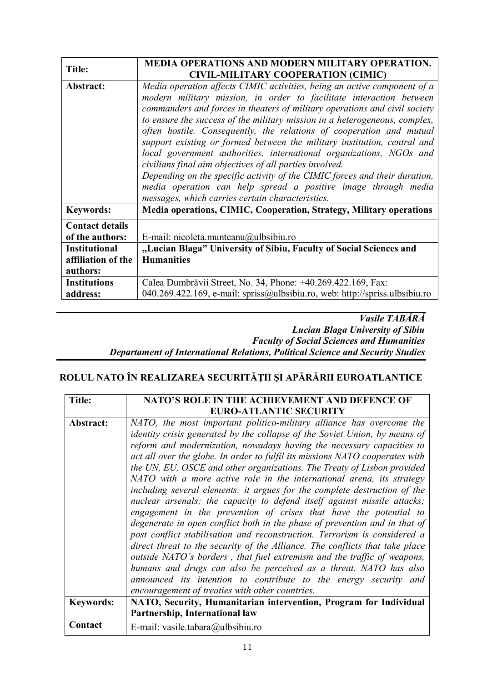| <b>Title:</b>                              | <b>MEDIA OPERATIONS AND MODERN MILITARY OPERATION.</b><br><b>CIVIL-MILITARY COOPERATION (CIMIC)</b>                                                                                                                                                                                                                                                                                                                                                                                                                                                                                                                                                                                                                                                                                                   |
|--------------------------------------------|-------------------------------------------------------------------------------------------------------------------------------------------------------------------------------------------------------------------------------------------------------------------------------------------------------------------------------------------------------------------------------------------------------------------------------------------------------------------------------------------------------------------------------------------------------------------------------------------------------------------------------------------------------------------------------------------------------------------------------------------------------------------------------------------------------|
| Abstract:                                  | Media operation affects CIMIC activities, being an active component of a<br>modern military mission, in order to facilitate interaction between<br>commanders and forces in theaters of military operations and civil society<br>to ensure the success of the military mission in a heterogeneous, complex,<br>often hostile. Consequently, the relations of cooperation and mutual<br>support existing or formed between the military institution, central and<br>local government authorities, international organizations, NGOs and<br>civilians final aim objectives of all parties involved.<br>Depending on the specific activity of the CIMIC forces and their duration,<br>media operation can help spread a positive image through media<br>messages, which carries certain characteristics. |
| <b>Keywords:</b>                           | Media operations, CIMIC, Cooperation, Strategy, Military operations                                                                                                                                                                                                                                                                                                                                                                                                                                                                                                                                                                                                                                                                                                                                   |
| <b>Contact details</b><br>of the authors:  | E-mail: nicoleta.munteanu@ulbsibiu.ro                                                                                                                                                                                                                                                                                                                                                                                                                                                                                                                                                                                                                                                                                                                                                                 |
| <b>Institutional</b><br>affiliation of the | "Lucian Blaga" University of Sibiu, Faculty of Social Sciences and<br><b>Humanities</b>                                                                                                                                                                                                                                                                                                                                                                                                                                                                                                                                                                                                                                                                                                               |
| authors:                                   |                                                                                                                                                                                                                                                                                                                                                                                                                                                                                                                                                                                                                                                                                                                                                                                                       |
| <b>Institutions</b><br>address:            | Calea Dumbrăvii Street, No. 34, Phone: +40.269.422.169, Fax:<br>040.269.422.169, e-mail: spriss@ulbsibiu.ro, web: http://spriss.ulbsibiu.ro                                                                                                                                                                                                                                                                                                                                                                                                                                                                                                                                                                                                                                                           |

#### *Vasile TABĂRĂ Lucian Blaga University of Sibiu Faculty of Social Sciences and Humanities Departament of International Relations, Political Science and Security Studies*

#### **ROLUL NATO ÎN REALIZAREA SECURITĂŢII ŞI APĂRĂRII EUROATLANTICE**

| <b>Title:</b>    | NATO'S ROLE IN THE ACHIEVEMENT AND DEFENCE OF                                     |
|------------------|-----------------------------------------------------------------------------------|
|                  | <b>EURO-ATLANTIC SECURITY</b>                                                     |
| Abstract:        | NATO, the most important politico-military alliance has overcome the              |
|                  | <i>identity crisis generated by the collapse of the Soviet Union, by means of</i> |
|                  | reform and modernization, nowadays having the necessary capacities to             |
|                  | act all over the globe. In order to fulfil its missions NATO cooperates with      |
|                  | the UN, EU, OSCE and other organizations. The Treaty of Lisbon provided           |
|                  | NATO with a more active role in the international arena, its strategy             |
|                  | including several elements: it argues for the complete destruction of the         |
|                  | nuclear arsenals; the capacity to defend itself against missile attacks;          |
|                  | engagement in the prevention of crises that have the potential to                 |
|                  | degenerate in open conflict both in the phase of prevention and in that of        |
|                  | post conflict stabilisation and reconstruction. Terrorism is considered a         |
|                  | direct threat to the security of the Alliance. The conflicts that take place      |
|                  | outside NATO's borders, that fuel extremism and the traffic of weapons,           |
|                  | humans and drugs can also be perceived as a threat. NATO has also                 |
|                  | announced its intention to contribute to the energy security and                  |
|                  | encouragement of treaties with other countries.                                   |
| <b>Keywords:</b> | NATO, Security, Humanitarian intervention, Program for Individual                 |
|                  | Partnership, International law                                                    |
| Contact          | E-mail: vasile.tabara@ulbsibiu.ro                                                 |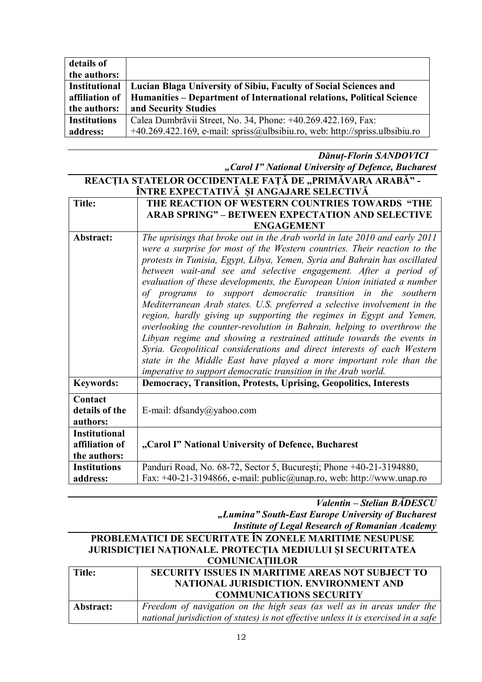| details of          |                                                                                |
|---------------------|--------------------------------------------------------------------------------|
| the authors:        |                                                                                |
| Institutional       | Lucian Blaga University of Sibiu, Faculty of Social Sciences and               |
| affiliation of      | Humanities – Department of International relations, Political Science          |
| the authors:        | and Security Studies                                                           |
| <b>Institutions</b> | Calea Dumbrăvii Street, No. 34, Phone: +40.269.422.169, Fax:                   |
| address:            | $+40.269.422.169$ , e-mail: spriss@ulbsibiu.ro, web: http://spriss.ulbsibiu.ro |

*Dănuț-Florin SANDOVICI "Carol I" National University of Defence, Bucharest*

| REACȚIA STATELOR OCCIDENTALE FAȚĂ DE "PRIMĂVARA ARABĂ" - |                                                                            |  |
|----------------------------------------------------------|----------------------------------------------------------------------------|--|
| ÎNTRE EXPECTATIVĂ ȘI ANGAJARE SELECTIVĂ                  |                                                                            |  |
| <b>Title:</b>                                            | THE REACTION OF WESTERN COUNTRIES TOWARDS "THE                             |  |
|                                                          | <b>ARAB SPRING" - BETWEEN EXPECTATION AND SELECTIVE</b>                    |  |
|                                                          | <b>ENGAGEMENT</b>                                                          |  |
| Abstract:                                                | The uprisings that broke out in the Arab world in late 2010 and early 2011 |  |
|                                                          | were a surprise for most of the Western countries. Their reaction to the   |  |
|                                                          | protests in Tunisia, Egypt, Libya, Yemen, Syria and Bahrain has oscillated |  |
|                                                          | between wait-and see and selective engagement. After a period of           |  |
|                                                          | evaluation of these developments, the European Union initiated a number    |  |
|                                                          | of programs to support democratic transition in the southern               |  |
|                                                          | Mediterranean Arab states. U.S. preferred a selective involvement in the   |  |
|                                                          | region, hardly giving up supporting the regimes in Egypt and Yemen,        |  |
|                                                          | overlooking the counter-revolution in Bahrain, helping to overthrow the    |  |
|                                                          | Libyan regime and showing a restrained attitude towards the events in      |  |
|                                                          | Syria. Geopolitical considerations and direct interests of each Western    |  |
|                                                          | state in the Middle East have played a more important role than the        |  |
|                                                          | imperative to support democratic transition in the Arab world.             |  |
| <b>Keywords:</b>                                         | <b>Democracy, Transition, Protests, Uprising, Geopolitics, Interests</b>   |  |
| Contact                                                  |                                                                            |  |
| details of the                                           | E-mail: dfsandy@yahoo.com                                                  |  |
| authors:                                                 |                                                                            |  |
| <b>Institutional</b>                                     |                                                                            |  |
| affiliation of                                           | "Carol I" National University of Defence, Bucharest                        |  |
| the authors:                                             |                                                                            |  |
| <b>Institutions</b>                                      | Panduri Road, No. 68-72, Sector 5, București; Phone +40-21-3194880,        |  |
| address:                                                 | Fax: +40-21-3194866, e-mail: public@unap.ro, web: http://www.unap.ro       |  |

*Valentin – Stelian BĂDESCU "Lumina" South-East Europe University of Bucharest Institute of Legal Research of Romanian Academy*

| PROBLEMATICI DE SECURITATE ÎN ZONELE MARITIME NESUPUSE    |                                                                                    |  |
|-----------------------------------------------------------|------------------------------------------------------------------------------------|--|
| JURISDICȚIEI NAȚIONALE. PROTECȚIA MEDIULUI ȘI SECURITATEA |                                                                                    |  |
| <b>COMUNICATIILOR</b>                                     |                                                                                    |  |
| <b>Title:</b>                                             | SECURITY ISSUES IN MARITIME AREAS NOT SUBJECT TO                                   |  |
|                                                           | NATIONAL JURISDICTION. ENVIRONMENT AND                                             |  |
|                                                           | <b>COMMUNICATIONS SECURITY</b>                                                     |  |
| Abstract:                                                 | Freedom of navigation on the high seas (as well as in areas under the              |  |
|                                                           | national jurisdiction of states) is not effective unless it is exercised in a safe |  |
|                                                           |                                                                                    |  |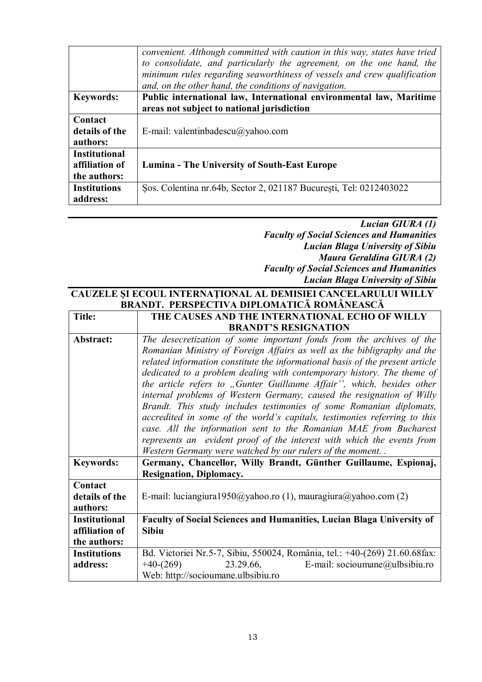|                      | convenient. Although committed with caution in this way, states have tried<br>to consolidate, and particularly the agreement, on the one hand, the<br>minimum rules regarding seaworthiness of vessels and crew qualification<br>and, on the other hand, the conditions of navigation. |
|----------------------|----------------------------------------------------------------------------------------------------------------------------------------------------------------------------------------------------------------------------------------------------------------------------------------|
| <b>Keywords:</b>     | Public international law, International environmental law, Maritime                                                                                                                                                                                                                    |
|                      | areas not subject to national jurisdiction                                                                                                                                                                                                                                             |
| Contact              |                                                                                                                                                                                                                                                                                        |
| details of the       | E-mail: valentinbadescu $\omega$ yahoo.com                                                                                                                                                                                                                                             |
| authors:             |                                                                                                                                                                                                                                                                                        |
| <b>Institutional</b> |                                                                                                                                                                                                                                                                                        |
| affiliation of       | Lumina - The University of South-East Europe                                                                                                                                                                                                                                           |
| the authors:         |                                                                                                                                                                                                                                                                                        |
| <b>Institutions</b>  | Sos. Colentina nr. 64b, Sector 2, 021187 București, Tel: 0212403022                                                                                                                                                                                                                    |
| address:             |                                                                                                                                                                                                                                                                                        |

#### *Lucian GIURA (1) Faculty of Social Sciences and Humanities Lucian Blaga University of Sibiu Maura Geraldina GIURA (2) Faculty of Social Sciences and Humanities Lucian Blaga University of Sibiu*

#### **CAUZELE ŞI ECOUL INTERNAŢIONAL AL DEMISIEI CANCELARULUI WILLY BRANDT. PERSPECTIVA DIPLOMATICĂ ROMÂNEASCĂ**

| <b>Title:</b>                                          | THE CAUSES AND THE INTERNATIONAL ECHO OF WILLY                                                                                                                                                                                                                                                                                                                                                                                                                                                                                                                                                                                                                                                                                                                                                                              |
|--------------------------------------------------------|-----------------------------------------------------------------------------------------------------------------------------------------------------------------------------------------------------------------------------------------------------------------------------------------------------------------------------------------------------------------------------------------------------------------------------------------------------------------------------------------------------------------------------------------------------------------------------------------------------------------------------------------------------------------------------------------------------------------------------------------------------------------------------------------------------------------------------|
|                                                        | <b>BRANDT'S RESIGNATION</b>                                                                                                                                                                                                                                                                                                                                                                                                                                                                                                                                                                                                                                                                                                                                                                                                 |
| Abstract:                                              | The desecretization of some important fonds from the archives of the<br>Romanian Ministry of Foreign Affairs as well as the bibligraphy and the<br>related information constitute the informational basis of the present article<br>dedicated to a problem dealing with contemporary history. The theme of<br>the article refers to "Gunter Guillaume Affair", which, besides other<br>internal problems of Western Germany, caused the resignation of Willy<br>Brandt. This study includes testimonies of some Romanian diplomats,<br>accredited in some of the world's capitals, testimonies referring to this<br>case. All the information sent to the Romanian MAE from Bucharest<br>represents an evident proof of the interest with which the events from<br>Western Germany were watched by our rulers of the moment |
| <b>Keywords:</b>                                       | Germany, Chancellor, Willy Brandt, Günther Guillaume, Espionaj,<br><b>Resignation, Diplomacy.</b>                                                                                                                                                                                                                                                                                                                                                                                                                                                                                                                                                                                                                                                                                                                           |
| Contact<br>details of the<br>authors:                  | E-mail: luciangiura1950@yahoo.ro (1), mauragiura@yahoo.com (2)                                                                                                                                                                                                                                                                                                                                                                                                                                                                                                                                                                                                                                                                                                                                                              |
| <b>Institutional</b><br>affiliation of<br>the authors: | Faculty of Social Sciences and Humanities, Lucian Blaga University of<br><b>Sibiu</b>                                                                                                                                                                                                                                                                                                                                                                                                                                                                                                                                                                                                                                                                                                                                       |
| <b>Institutions</b><br>address:                        | Bd. Victoriei Nr.5-7, Sibiu, 550024, România, tel.: +40-(269) 21.60.68fax:<br>$+40-(269)$<br>23.29.66,<br>E-mail: socioumane@ulbsibiu.ro<br>Web: http://socioumane.ulbsibiu.ro                                                                                                                                                                                                                                                                                                                                                                                                                                                                                                                                                                                                                                              |